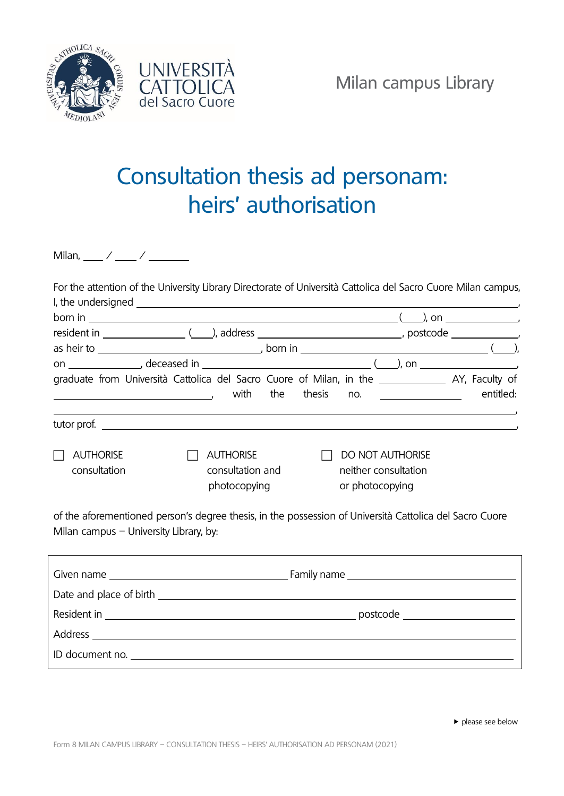



## Consultation thesis ad personam: heirs' authorisation

Milan,  $\frac{1}{2}$  /  $\frac{1}{2}$  /  $\frac{1}{2}$ 

| For the attention of the University Library Directorate of Università Cattolica del Sacro Cuore Milan campus,                                                                                                                                                                                                                                                                                                       |                                                      |  |                 |                                                       |           |
|---------------------------------------------------------------------------------------------------------------------------------------------------------------------------------------------------------------------------------------------------------------------------------------------------------------------------------------------------------------------------------------------------------------------|------------------------------------------------------|--|-----------------|-------------------------------------------------------|-----------|
|                                                                                                                                                                                                                                                                                                                                                                                                                     |                                                      |  |                 |                                                       |           |
|                                                                                                                                                                                                                                                                                                                                                                                                                     |                                                      |  |                 |                                                       |           |
|                                                                                                                                                                                                                                                                                                                                                                                                                     |                                                      |  |                 |                                                       |           |
|                                                                                                                                                                                                                                                                                                                                                                                                                     |                                                      |  |                 |                                                       |           |
|                                                                                                                                                                                                                                                                                                                                                                                                                     |                                                      |  |                 |                                                       |           |
| graduate from Università Cattolica del Sacro Cuore of Milan, in the ________________ AY, Faculty of                                                                                                                                                                                                                                                                                                                 |                                                      |  |                 |                                                       |           |
| $\overline{\phantom{a}}$ and $\overline{\phantom{a}}$ and $\overline{\phantom{a}}$ and $\overline{\phantom{a}}$ and $\overline{\phantom{a}}$ and $\overline{\phantom{a}}$ and $\overline{\phantom{a}}$ and $\overline{\phantom{a}}$ and $\overline{\phantom{a}}$ and $\overline{\phantom{a}}$ and $\overline{\phantom{a}}$ and $\overline{\phantom{a}}$ and $\overline{\phantom{a}}$ and $\overline{\phantom{a}}$ a |                                                      |  |                 | with the thesis no. $\frac{1}{\sqrt{1-\frac{1}{2}}}\$ | entitled: |
|                                                                                                                                                                                                                                                                                                                                                                                                                     |                                                      |  |                 |                                                       |           |
| <b>AUTHORISE</b><br>consultation                                                                                                                                                                                                                                                                                                                                                                                    | <b>AUTHORISE</b><br>consultation and<br>photocopying |  | or photocopying | <b>DO NOT AUTHORISE</b><br>neither consultation       |           |
| of the aference in percepts degree thesis in the perseccion of University Cattelise del Casse Guero                                                                                                                                                                                                                                                                                                                 |                                                      |  |                 |                                                       |           |

of the aforementioned person's degree thesis, in the possession of Università Cattolica del Sacro Cuore Milan campus – University Library, by:

| Date and place of birth and the state of the state of the state of the state of the state of the state of the state of the state of the state of the state of the state of the state of the state of the state of the state of |  |  |  |  |
|--------------------------------------------------------------------------------------------------------------------------------------------------------------------------------------------------------------------------------|--|--|--|--|
|                                                                                                                                                                                                                                |  |  |  |  |
|                                                                                                                                                                                                                                |  |  |  |  |
| ID document no.                                                                                                                                                                                                                |  |  |  |  |
|                                                                                                                                                                                                                                |  |  |  |  |